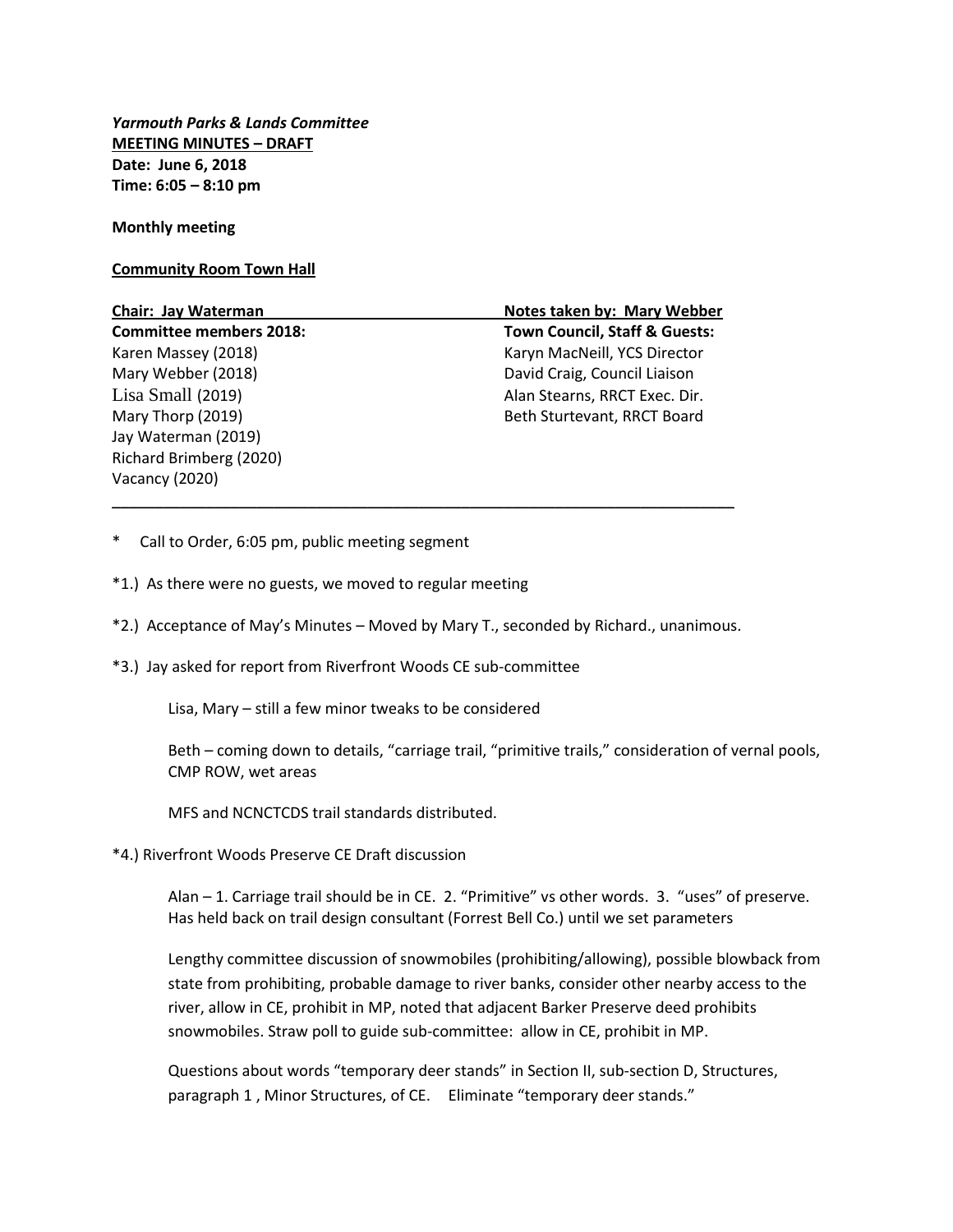*Yarmouth Parks & Lands Committee* **MEETING MINUTES – DRAFT Date: June 6, 2018 Time: 6:05 – 8:10 pm**

## **Monthly meeting**

## **Community Room Town Hall**

Jay Waterman (2019) Richard Brimberg (2020) Vacancy (2020)

**Chair: Jay Waterman Notes taken by: Mary Webber Committee members 2018: Town Council, Staff & Guests:** Karen Massey (2018) Karyn MacNeill, YCS Director Mary Webber (2018) David Craig, Council Liaison Lisa Small (2019) Alan Stearns, RRCT Exec. Dir. Mary Thorp (2019) **Beth Sturtevant, RRCT Board** 

- \* Call to Order, 6:05 pm, public meeting segment
- \*1.) As there were no guests, we moved to regular meeting
- \*2.) Acceptance of May's Minutes Moved by Mary T., seconded by Richard., unanimous.

\_\_\_\_\_\_\_\_\_\_\_\_\_\_\_\_\_\_\_\_\_\_\_\_\_\_\_\_\_\_\_\_\_\_\_\_\_\_\_\_\_\_\_\_\_\_\_\_\_\_\_\_\_\_\_\_\_\_\_\_\_\_\_\_\_\_\_\_\_\_\_\_\_

\*3.) Jay asked for report from Riverfront Woods CE sub-committee

Lisa, Mary – still a few minor tweaks to be considered

Beth – coming down to details, "carriage trail, "primitive trails," consideration of vernal pools, CMP ROW, wet areas

MFS and NCNCTCDS trail standards distributed.

\*4.) Riverfront Woods Preserve CE Draft discussion

Alan – 1. Carriage trail should be in CE. 2. "Primitive" vs other words. 3. "uses" of preserve. Has held back on trail design consultant (Forrest Bell Co.) until we set parameters

Lengthy committee discussion of snowmobiles (prohibiting/allowing), possible blowback from state from prohibiting, probable damage to river banks, consider other nearby access to the river, allow in CE, prohibit in MP, noted that adjacent Barker Preserve deed prohibits snowmobiles. Straw poll to guide sub-committee: allow in CE, prohibit in MP.

Questions about words "temporary deer stands" in Section II, sub-section D, Structures, paragraph 1 , Minor Structures, of CE. Eliminate "temporary deer stands."